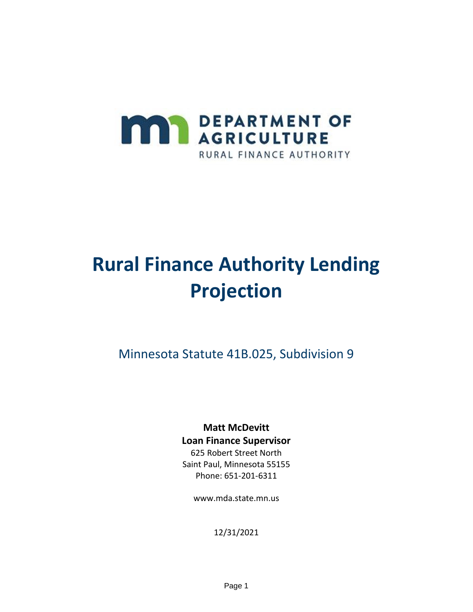

# **Rural Finance Authority Lending Projection**

Minnesota Statute 41B.025, Subdivision 9

#### **Matt McDevitt Loan Finance Supervisor**

625 Robert Street North Saint Paul, Minnesota 55155 Phone: 651-201-6311

www.mda.state.mn.us

12/31/2021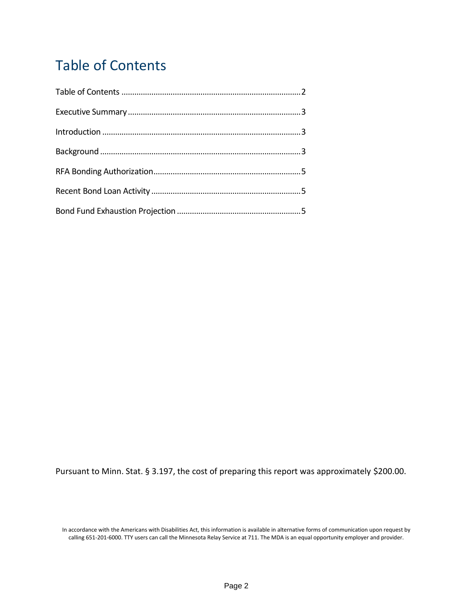# <span id="page-1-0"></span>Table of Contents

Pursuant to Minn. Stat. § 3.197, the cost of preparing this report was approximately \$200.00.

In accordance with the Americans with Disabilities Act, this information is available in alternative forms of communication upon request by calling 651-201-6000. TTY users can call the Minnesota Relay Service at 711. The MDA is an equal opportunity employer and provider.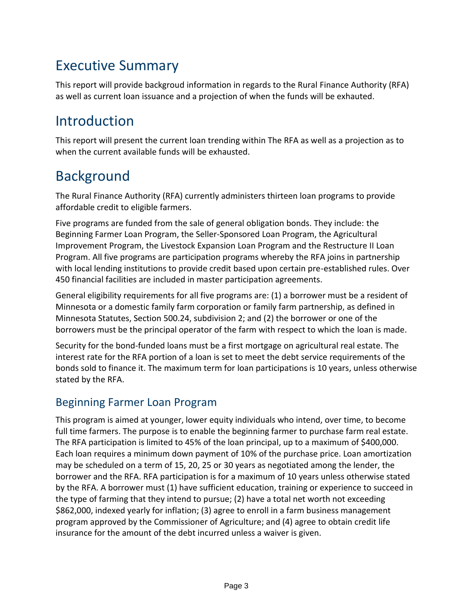# <span id="page-2-0"></span>Executive Summary

This report will provide backgroud information in regards to the Rural Finance Authority (RFA) as well as current loan issuance and a projection of when the funds will be exhauted.

# <span id="page-2-1"></span>Introduction

This report will present the current loan trending within The RFA as well as a projection as to when the current available funds will be exhausted.

# <span id="page-2-2"></span>Background

The Rural Finance Authority (RFA) currently administers thirteen loan programs to provide affordable credit to eligible farmers.

Five programs are funded from the sale of general obligation bonds. They include: the Beginning Farmer Loan Program, the Seller-Sponsored Loan Program, the Agricultural Improvement Program, the Livestock Expansion Loan Program and the Restructure II Loan Program. All five programs are participation programs whereby the RFA joins in partnership with local lending institutions to provide credit based upon certain pre-established rules. Over 450 financial facilities are included in master participation agreements.

General eligibility requirements for all five programs are: (1) a borrower must be a resident of Minnesota or a domestic family farm corporation or family farm partnership, as defined in Minnesota Statutes, Section 500.24, subdivision 2; and (2) the borrower or one of the borrowers must be the principal operator of the farm with respect to which the loan is made.

Security for the bond-funded loans must be a first mortgage on agricultural real estate. The interest rate for the RFA portion of a loan is set to meet the debt service requirements of the bonds sold to finance it. The maximum term for loan participations is 10 years, unless otherwise stated by the RFA.

#### Beginning Farmer Loan Program

This program is aimed at younger, lower equity individuals who intend, over time, to become full time farmers. The purpose is to enable the beginning farmer to purchase farm real estate. The RFA participation is limited to 45% of the loan principal, up to a maximum of \$400,000. Each loan requires a minimum down payment of 10% of the purchase price. Loan amortization may be scheduled on a term of 15, 20, 25 or 30 years as negotiated among the lender, the borrower and the RFA. RFA participation is for a maximum of 10 years unless otherwise stated by the RFA. A borrower must (1) have sufficient education, training or experience to succeed in the type of farming that they intend to pursue; (2) have a total net worth not exceeding \$862,000, indexed yearly for inflation; (3) agree to enroll in a farm business management program approved by the Commissioner of Agriculture; and (4) agree to obtain credit life insurance for the amount of the debt incurred unless a waiver is given.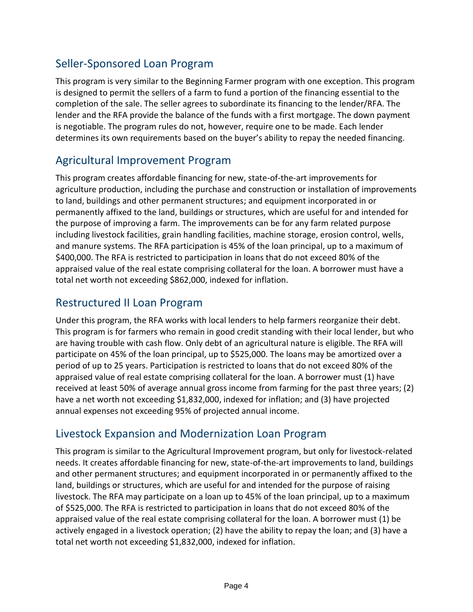#### Seller-Sponsored Loan Program

This program is very similar to the Beginning Farmer program with one exception. This program is designed to permit the sellers of a farm to fund a portion of the financing essential to the completion of the sale. The seller agrees to subordinate its financing to the lender/RFA. The lender and the RFA provide the balance of the funds with a first mortgage. The down payment is negotiable. The program rules do not, however, require one to be made. Each lender determines its own requirements based on the buyer's ability to repay the needed financing.

#### Agricultural Improvement Program

This program creates affordable financing for new, state-of-the-art improvements for agriculture production, including the purchase and construction or installation of improvements to land, buildings and other permanent structures; and equipment incorporated in or permanently affixed to the land, buildings or structures, which are useful for and intended for the purpose of improving a farm. The improvements can be for any farm related purpose including livestock facilities, grain handling facilities, machine storage, erosion control, wells, and manure systems. The RFA participation is 45% of the loan principal, up to a maximum of \$400,000. The RFA is restricted to participation in loans that do not exceed 80% of the appraised value of the real estate comprising collateral for the loan. A borrower must have a total net worth not exceeding \$862,000, indexed for inflation.

#### Restructured II Loan Program

Under this program, the RFA works with local lenders to help farmers reorganize their debt. This program is for farmers who remain in good credit standing with their local lender, but who are having trouble with cash flow. Only debt of an agricultural nature is eligible. The RFA will participate on 45% of the loan principal, up to \$525,000. The loans may be amortized over a period of up to 25 years. Participation is restricted to loans that do not exceed 80% of the appraised value of real estate comprising collateral for the loan. A borrower must (1) have received at least 50% of average annual gross income from farming for the past three years; (2) have a net worth not exceeding \$1,832,000, indexed for inflation; and (3) have projected annual expenses not exceeding 95% of projected annual income.

#### Livestock Expansion and Modernization Loan Program

This program is similar to the Agricultural Improvement program, but only for livestock-related needs. It creates affordable financing for new, state-of-the-art improvements to land, buildings and other permanent structures; and equipment incorporated in or permanently affixed to the land, buildings or structures, which are useful for and intended for the purpose of raising livestock. The RFA may participate on a loan up to 45% of the loan principal, up to a maximum of \$525,000. The RFA is restricted to participation in loans that do not exceed 80% of the appraised value of the real estate comprising collateral for the loan. A borrower must (1) be actively engaged in a livestock operation; (2) have the ability to repay the loan; and (3) have a total net worth not exceeding \$1,832,000, indexed for inflation.